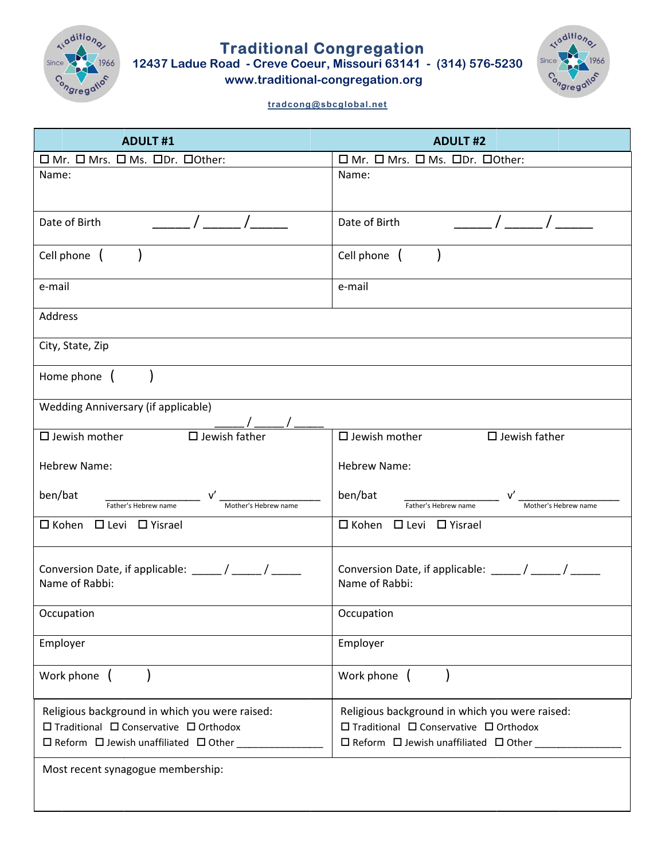

Traditional Congregation<br>12437 Ladue Road - Creve Coeur, Missouri 63141 - (314) 576-5230



www.traditional-congregation.org

## tradcong@sbcglobal.net

| <b>ADULT#1</b>                                                                                                                                                | <b>ADULT#2</b>                                                                                                                                                               |
|---------------------------------------------------------------------------------------------------------------------------------------------------------------|------------------------------------------------------------------------------------------------------------------------------------------------------------------------------|
| □ Mr. □ Mrs. □ Ms. □Dr. □ Other:                                                                                                                              | □ Mr. □ Mrs. □ Ms. □ Dr. □ Other:                                                                                                                                            |
| Name:                                                                                                                                                         | Name:                                                                                                                                                                        |
|                                                                                                                                                               |                                                                                                                                                                              |
| Date of Birth                                                                                                                                                 | Date of Birth                                                                                                                                                                |
| Cell phone (                                                                                                                                                  | Cell phone (                                                                                                                                                                 |
| e-mail                                                                                                                                                        | e-mail                                                                                                                                                                       |
| Address                                                                                                                                                       |                                                                                                                                                                              |
| City, State, Zip                                                                                                                                              |                                                                                                                                                                              |
| Home phone (                                                                                                                                                  |                                                                                                                                                                              |
| Wedding Anniversary (if applicable)                                                                                                                           |                                                                                                                                                                              |
| $\Box$ Jewish father<br>$\square$ Jewish mother                                                                                                               | $\square$ Jewish mother $\square$ Jewish father                                                                                                                              |
| <b>Hebrew Name:</b>                                                                                                                                           | <b>Hebrew Name:</b>                                                                                                                                                          |
| _____________________<br>ben/bat<br>Father's Hebrew name<br>Mother's Hebrew name                                                                              | ben/bat<br>Father's Hebrew name<br>Mother's Hebrew name                                                                                                                      |
| □ Kohen □ Levi □ Yisrael                                                                                                                                      | $\Box$ Kohen $\Box$ Levi $\Box$ Yisrael                                                                                                                                      |
|                                                                                                                                                               |                                                                                                                                                                              |
| Conversion Date, if applicable: _____/ _____/ ______<br>Name of Rabbi:                                                                                        | Conversion Date, if applicable: _____/ _____/ ______<br>Name of Rabbi:                                                                                                       |
| Occupation                                                                                                                                                    | Occupation                                                                                                                                                                   |
| Employer                                                                                                                                                      | Employer                                                                                                                                                                     |
| Work phone (                                                                                                                                                  | Work phone (                                                                                                                                                                 |
| Religious background in which you were raised:<br>$\Box$ Traditional $\Box$ Conservative $\Box$ Orthodox<br>□ Reform □ Jewish unaffiliated □ Other __________ | Religious background in which you were raised:<br>$\square$ Traditional $\square$ Conservative $\square$ Orthodox<br>$\Box$ Reform $\Box$ Jewish unaffiliated $\Box$ Other _ |
| Most recent synagogue membership:                                                                                                                             |                                                                                                                                                                              |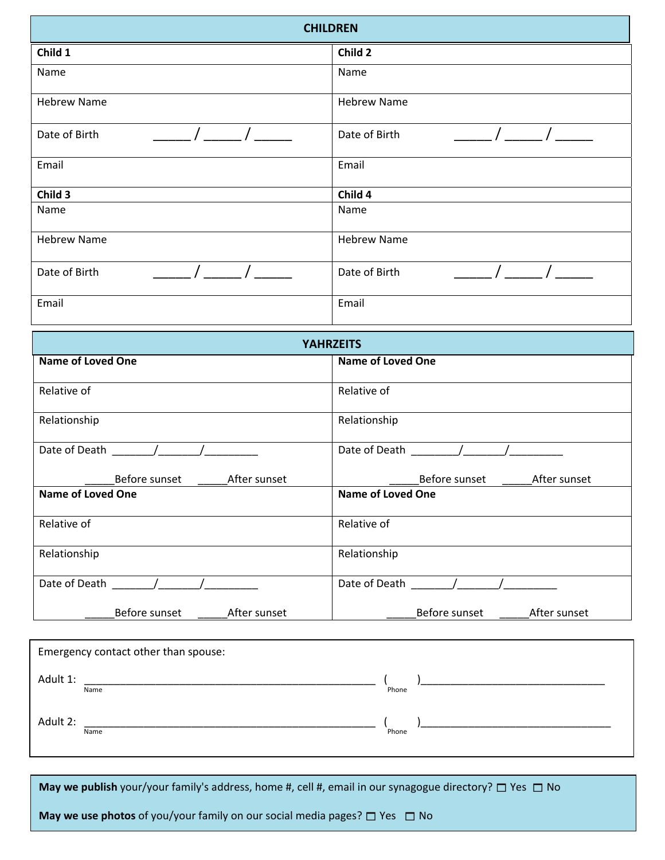| <b>CHILDREN</b>    |                    |
|--------------------|--------------------|
| Child 1            | Child 2            |
| Name               | Name               |
| <b>Hebrew Name</b> | <b>Hebrew Name</b> |
| Date of Birth      | Date of Birth      |
| Email              | Email              |
| Child 3            | Child 4            |
| Name               | Name               |
| <b>Hebrew Name</b> | <b>Hebrew Name</b> |
| Date of Birth      | Date of Birth      |
| Email              | Email              |

|                                                      | <b>YAHRZEITS</b>              |
|------------------------------------------------------|-------------------------------|
| <b>Name of Loved One</b>                             | <b>Name of Loved One</b>      |
|                                                      |                               |
| Relative of                                          | Relative of                   |
| Relationship                                         | Relationship                  |
| Date of Death / /<br>$\mathcal{L}$ and $\mathcal{L}$ | Date of Death (1997)          |
| Before sunset After sunset                           | Before sunset After sunset    |
| <b>Name of Loved One</b>                             | <b>Name of Loved One</b>      |
| Relative of                                          | Relative of                   |
| Relationship                                         | Relationship                  |
| Date of Death /                                      | Date of Death /               |
| Before sunset<br>After sunset                        | Before sunset<br>After sunset |

|          | Emergency contact other than spouse: |       |  |
|----------|--------------------------------------|-------|--|
| Adult 1: | Name                                 | Phone |  |
| Adult 2: | Name                                 | Phone |  |

**May we publish** your/your family's address, home #, cell #, email in our synagogue directory?  $\Box$  Yes  $\Box$  No

**May we use photos** of you/your family on our social media pages?  $\Box$  Yes  $\Box$  No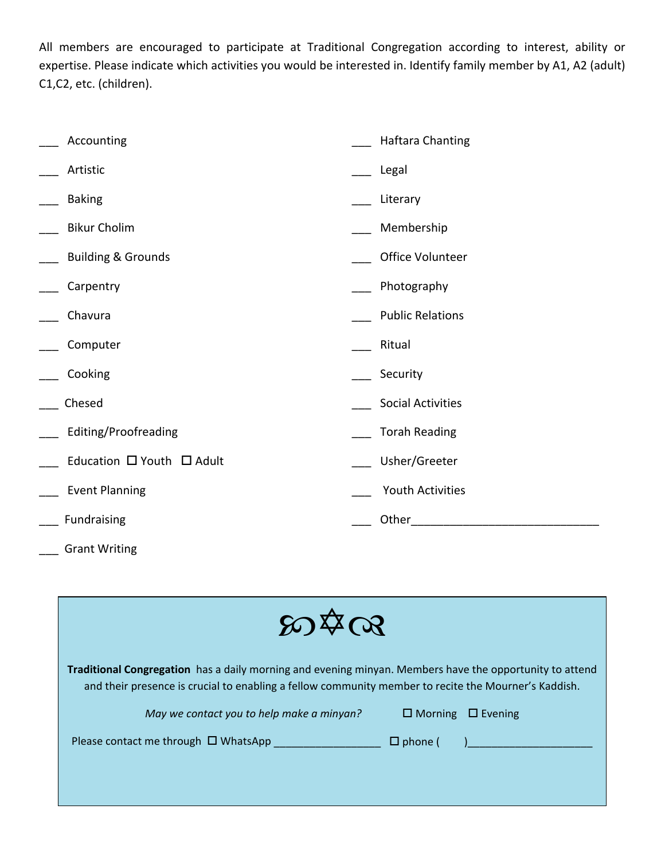All members are encouraged to participate at Traditional Congregation according to interest, ability or expertise. Please indicate which activities you would be interested in. Identify family member by A1, A2 (adult) C1,C2, etc. (children).

| Accounting                    | <b>Haftara Chanting</b>  |
|-------------------------------|--------------------------|
| Artistic                      | Legal                    |
| <b>Baking</b>                 | Literary                 |
| <b>Bikur Cholim</b>           | Membership               |
| <b>Building &amp; Grounds</b> | Office Volunteer         |
| Carpentry                     | Photography              |
| Chavura                       | <b>Public Relations</b>  |
| Computer                      | Ritual                   |
| Cooking                       | Security                 |
| Chesed                        | <b>Social Activities</b> |
| Editing/Proofreading          | <b>Torah Reading</b>     |
| Education □ Youth □ Adult     | Usher/Greeter            |
| <b>Event Planning</b>         | Youth Activities         |
| Fundraising                   | Other                    |

\_\_\_ Grant Writing

| 80478                                                                                                                                                                                                           |                               |  |
|-----------------------------------------------------------------------------------------------------------------------------------------------------------------------------------------------------------------|-------------------------------|--|
| Traditional Congregation has a daily morning and evening minyan. Members have the opportunity to attend<br>and their presence is crucial to enabling a fellow community member to recite the Mourner's Kaddish. |                               |  |
| May we contact you to help make a minyan?                                                                                                                                                                       | $\Box$ Morning $\Box$ Evening |  |
| Please contact me through $\Box$ WhatsApp                                                                                                                                                                       | $\Box$ phone (                |  |
|                                                                                                                                                                                                                 |                               |  |
|                                                                                                                                                                                                                 |                               |  |